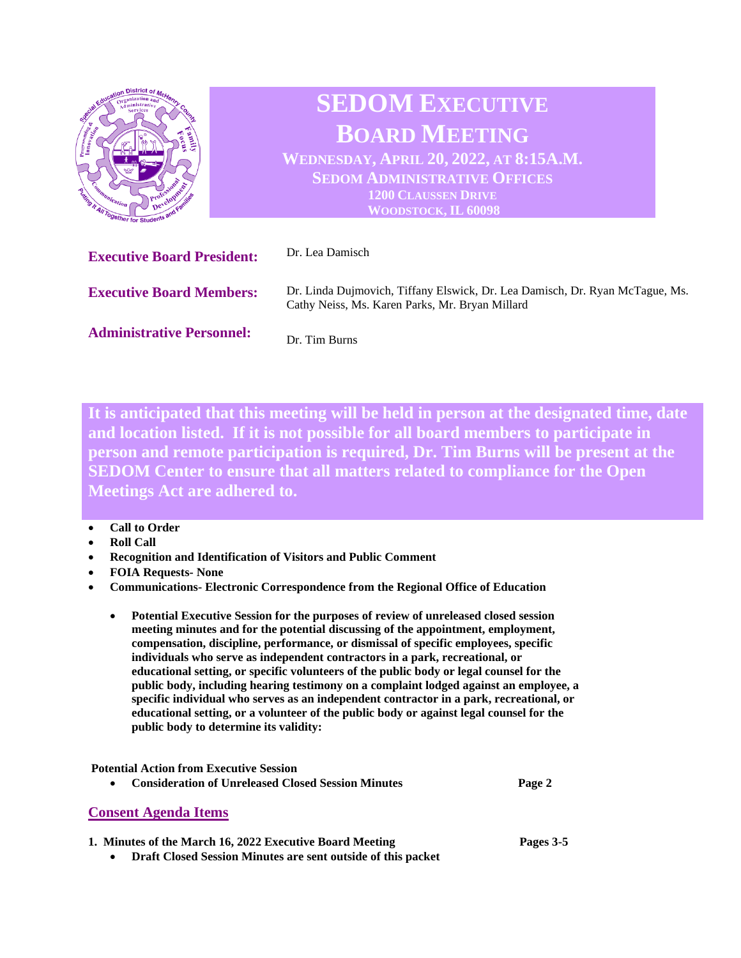

**It is anticipated that this meeting will be held in person at the designated time, date and location listed. If it is not possible for all board members to participate in person and remote participation is required, Dr. Tim Burns will be present at the SEDOM Center to ensure that all matters related to compliance for the Open Meetings Act are adhered to.** 

## • **Call to Order**

- **Roll Call**
- **Recognition and Identification of Visitors and Public Comment**
- **FOIA Requests- None**
- **Communications- Electronic Correspondence from the Regional Office of Education**
	- **Potential Executive Session for the purposes of review of unreleased closed session meeting minutes and for the potential discussing of the appointment, employment, compensation, discipline, performance, or dismissal of specific employees, specific individuals who serve as independent contractors in a park, recreational, or educational setting, or specific volunteers of the public body or legal counsel for the public body, including hearing testimony on a complaint lodged against an employee, a specific individual who serves as an independent contractor in a park, recreational, or educational setting, or a volunteer of the public body or against legal counsel for the public body to determine its validity:**

| <b>Potential Action from Executive Session</b><br><b>Consideration of Unreleased Closed Session Minutes</b><br>$\bullet$ | Page 2    |
|--------------------------------------------------------------------------------------------------------------------------|-----------|
| <b>Consent Agenda Items</b>                                                                                              |           |
| 1. Minutes of the March 16, 2022 Executive Board Meeting                                                                 | Pages 3-5 |

• **Draft Closed Session Minutes are sent outside of this packet**